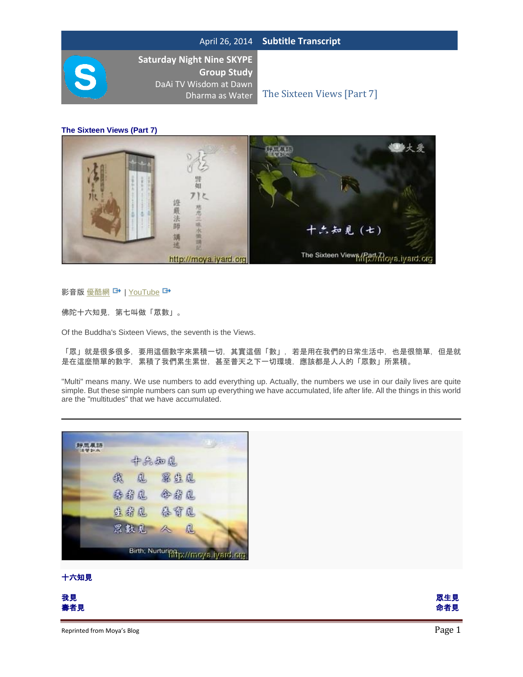**Saturday Night Nine SKYPE Group Study**  DaAi TV Wisdom at Dawn

Dharma as Water The Sixteen Views [Part 7]

**The Sixteen Views (Part 7)**



#### 影音版 [優酷網](http://v.youku.com/v_show/id_XMzU0NDI2NjA4.html) → | [YouTube](http://www.youtube.com/watch?v=FIRC4_qEkJc&list=PLE2E8C4A60F6392A3&index=36&feature=plpp_video) →

佛陀十六知見,第七叫做「眾數」。

Of the Buddha's Sixteen Views, the seventh is the Views.

「眾」就是很多很多,要用這個數字來累積一切,其實這個「數」,若是用在我們的日常生活中,也是很簡單,但是就 是在這麼簡單的數字,累積了我們累生累世,甚至普天之下一切環境,應該都是人人的「眾數」所累積。

"Multi" means many. We use numbers to add everything up. Actually, the numbers we use in our daily lives are quite simple. But these simple numbers can sum up everything we have accumulated, life after life. All the things in this world are the "multitudes" that we have accumulated.



#### 十六知見

| 我見                         | 眾生見    |
|----------------------------|--------|
| 壽者見                        | 命者見    |
| Reprinted from Moya's Blog | Page 1 |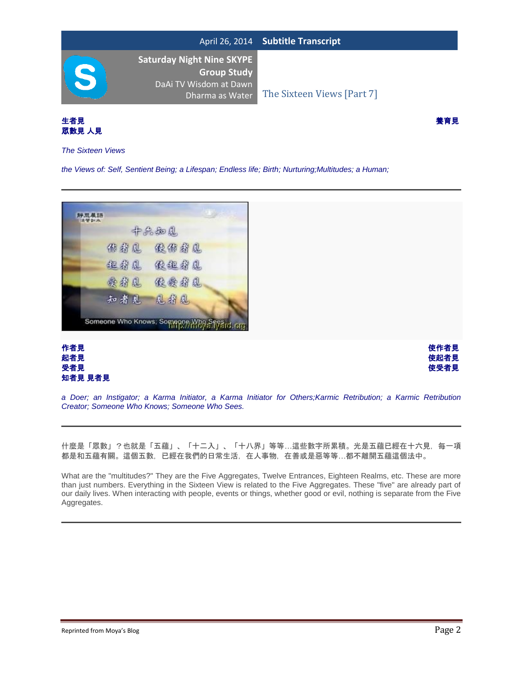



*The Sixteen Views*

*the Views of: Self, Sentient Being; a Lifespan; Endless life; Birth; Nurturing;Multitudes; a Human;*







*a Doer; an Instigator; a Karma Initiator, a Karma Initiator for Others;Karmic Retribution; a Karmic Retribution Creator; Someone Who Knows; Someone Who Sees.*

什麼是「眾數」?也就是「五蘊」、「十二入」、「十八界」等等…這些數字所累積。光是五蘊已經在十六見,每一項 都是和五蘊有關。這個五數,已經在我們的日常生活,在人事物,在善或是惡等等…都不離開五蘊這個法中。

What are the "multitudes?" They are the Five Aggregates, Twelve Entrances, Eighteen Realms, etc. These are more than just numbers. Everything in the Sixteen View is related to the Five Aggregates. These "five" are already part of our daily lives. When interacting with people, events or things, whether good or evil, nothing is separate from the Five Aggregates.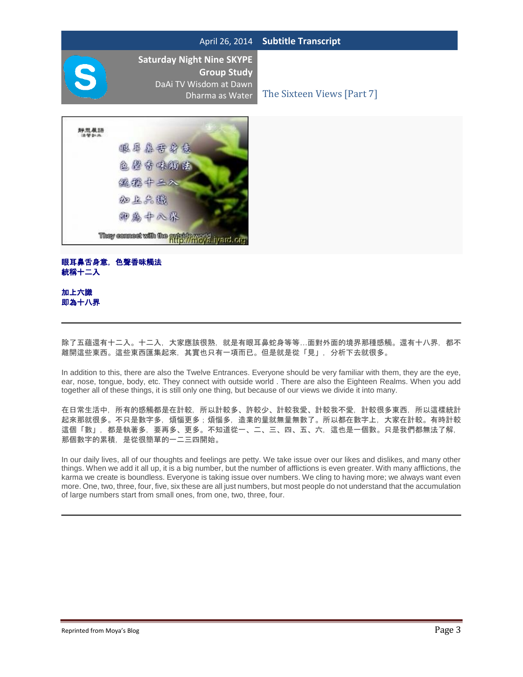**Saturday Night Nine SKYPE Group Study**  DaAi TV Wisdom at Dawn

Dharma as Water The Sixteen Views [Part 7]



# 眼耳鼻舌身意,色聲香味觸法 統稱十二入

## 加上六識 即為十八界

除了五蘊還有十二入。十二入,大家應該很熟,就是有眼耳鼻蛇身等等...面對外面的境界那種感觸。還有十八界,都不 離開這些東西。這些東西匯集起來,其實也只有一項而已。但是就是從「見」,分析下去就很多。

In addition to this, there are also the Twelve Entrances. Everyone should be very familiar with them, they are the eye, ear, nose, tongue, body, etc. They connect with outside world . There are also the Eighteen Realms. When you add together all of these things, it is still only one thing, but because of our views we divide it into many.

在日常生活中,所有的感觸都是在計較,所以計較多、許較少、計較我愛、計較我不愛,計較很多東西,所以這樣統計 起來那就很多。不只是數字多,煩惱更多;煩惱多,造業的量就無量無數了。所以都在數字上,大家在計較。有時計較 這個「數」,都是執著多,要再多、更多。不知道從一、二、三、四、五、六,這也是一個數。只是我們都無法了解, 那個數字的累積,是從很簡單的一二三四開始。

In our daily lives, all of our thoughts and feelings are petty. We take issue over our likes and dislikes, and many other things. When we add it all up, it is a big number, but the number of afflictions is even greater. With many afflictions, the karma we create is boundless. Everyone is taking issue over numbers. We cling to having more; we always want even more. One, two, three, four, five, six these are all just numbers, but most people do not understand that the accumulation of large numbers start from small ones, from one, two, three, four.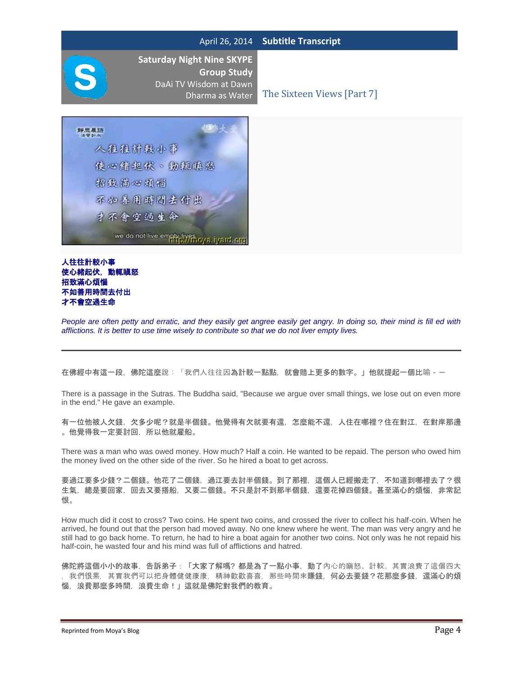**Saturday Night Nine SKYPE Group Study**  DaAi TV Wisdom at Dawn

Dharma as Water The Sixteen Views [Part 7]



### 人往往計較小事 使心緒起伏,動輒瞋怒 招致滿心煩惱 不如善用時間去付出 才不會空過生命

*People are often petty and erratic, and they easily get angree easily get angry. In doing so, their mind is fill ed with afflictions. It is better to use time wisely to contribute so that we do not liver empty lives.*

在佛經中有這一段,佛陀這麼說:「我們人往往因為計較一點點,就會賠上更多的數字。」他就提起一個比喻 --

There is a passage in the Sutras. The Buddha said, "Because we argue over small things, we lose out on even more in the end." He gave an example.

有一位他被人欠錢,欠多少呢?就是半個錢。他覺得有欠就要有還,怎麼能不還,人住在哪裡?住在對江,在對岸那邊 。他覺得我一定要討回,所以他就雇船。

There was a man who was owed money. How much? Half a coin. He wanted to be repaid. The person who owed him the money lived on the other side of the river. So he hired a boat to get across.

要過江要多少錢?二個錢。他花了二個錢,過江要去討半個錢。到了那裡,這個人已經搬走了,不知道到哪裡去了?很 生氣,總是要回家,回去又要搭船,又要二個錢。不只是討不到那半個錢,還要花掉四個錢。甚至滿心的煩惱,非常記 恨。

How much did it cost to cross? Two coins. He spent two coins, and crossed the river to collect his half-coin. When he arrived, he found out that the person had moved away. No one knew where he went. The man was very angry and he still had to go back home. To return, he had to hire a boat again for another two coins. Not only was he not repaid his half-coin, he wasted four and his mind was full of afflictions and hatred.

佛陀將這個小小的故事,告訴弟子:「大家了解嗎? 都是為了一點小事,動了內心的瞋怒、計較。其實浪費了這個四大 我們很累,其實我們可以把身體健健康康,精神歡歡喜喜,那些時間來賺錢,何必去要錢?花那麼多錢,還滿心的煩 惱,浪費那麼多時間,浪費生命!」這就是佛陀對我們的教育。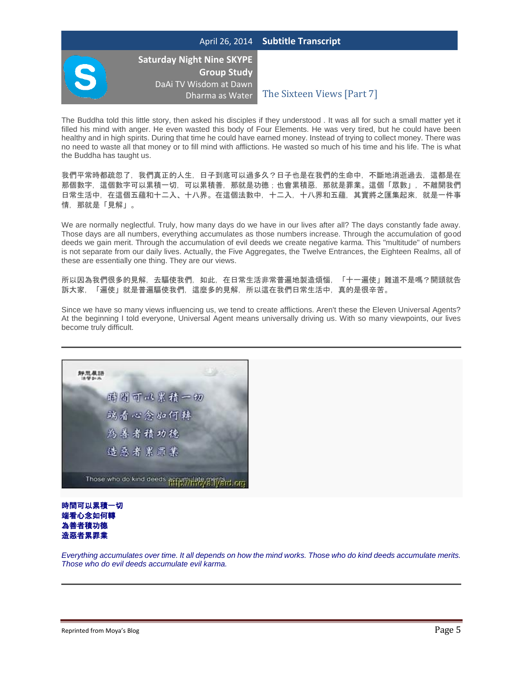

**Saturday Night Nine SKYPE Group Study**  DaAi TV Wisdom at Dawn

Dharma as Water The Sixteen Views [Part 7]

The Buddha told this little story, then asked his disciples if they understood . It was all for such a small matter yet it filled his mind with anger. He even wasted this body of Four Elements. He was very tired, but he could have been healthy and in high spirits. During that time he could have earned money. Instead of trying to collect money. There was no need to waste all that money or to fill mind with afflictions. He wasted so much of his time and his life. The is what the Buddha has taught us.

我們平常時都疏忽了,我們真正的人生,日子到底可以過多久?日子也是在我們的生命中,不斷地消逝過去,這都是在 那個數字,這個數字可以累積一切,可以累積善,那就是功德;也會累積惡,那就是罪業。這個「眾數」,不離開我們 日常生活中,在這個五蘊和十二入、十八界。在這個法數中,十二入,十八界和五蘊,其實將之匯集起來,就是一件事 情,那就是「見解」。

We are normally neglectful. Truly, how many days do we have in our lives after all? The days constantly fade away. Those days are all numbers, everything accumulates as those numbers increase. Through the accumulation of good deeds we gain merit. Through the accumulation of evil deeds we create negative karma. This "multitude" of numbers is not separate from our daily lives. Actually, the Five Aggregates, the Twelve Entrances, the Eighteen Realms, all of these are essentially one thing. They are our views.

所以因為我們很多的見解,去驅使我們,如此,在日常生活非常普遍地製造煩惱,「十一遍使」難道不是嗎?開頭就告 訴大家,「遍使」就是普遍驅使我們,這麼多的見解,所以這在我們日常生活中,真的是很辛苦。

Since we have so many views influencing us, we tend to create afflictions. Aren't these the Eleven Universal Agents? At the beginning I told everyone, Universal Agent means universally driving us. With so many viewpoints, our lives become truly difficult.





*Everything accumulates over time. It all depends on how the mind works. Those who do kind deeds accumulate merits. Those who do evil deeds accumulate evil karma.*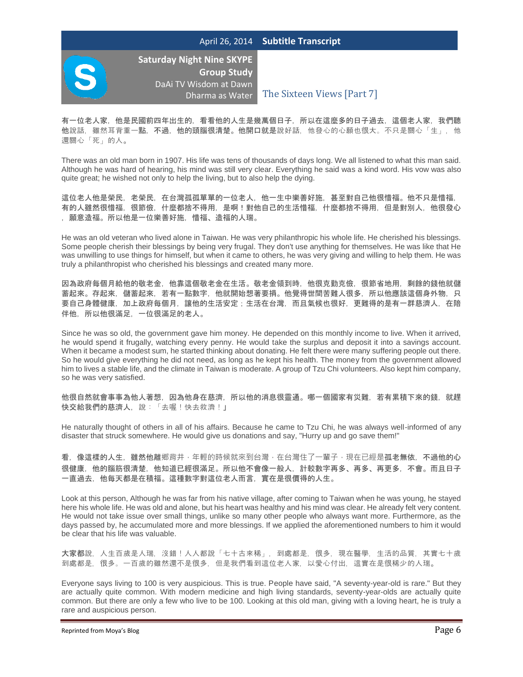

**Saturday Night Nine SKYPE Group Study**  DaAi TV Wisdom at Dawn

Dharma as Water The Sixteen Views [Part 7]

有一位老人家,他是民國前四年出生的,看看他的人生是幾萬個日子,所以在這麼多的日子過去,這個老人家,我們聽 他說話,雖然耳背重一點,不過,他的頭腦很清楚。他開口就是說好話,他發心的心願也很大。不只是關心「生」,他 還關心「死」的人。

There was an old man born in 1907. His life was tens of thousands of days long. We all listened to what this man said. Although he was hard of hearing, his mind was still very clear. Everything he said was a kind word. His vow was also quite great; he wished not only to help the living, but to also help the dying.

這位老人他是榮民,老榮民,在台灣孤孤單單的一位老人,他一生中樂善好施,甚至對自己他很惜福。他不只是惜福, 有的人雖然很惜福,很節儉,什麼都捨不得用,是啊!對他自己的生活惜福,什麼都捨不得用,但是對別人,他很發心 ,願意造福。所以他是一位樂善好施,惜福、造福的人瑞。

He was an old veteran who lived alone in Taiwan. He was very philanthropic his whole life. He cherished his blessings. Some people cherish their blessings by being very frugal. They don't use anything for themselves. He was like that He was unwilling to use things for himself, but when it came to others, he was very giving and willing to help them. He was truly a philanthropist who cherished his blessings and created many more.

因為政府每個月給他的敬老金,他靠這個敬老金在生活。敬老金領到時,他很克勤克儉,很節省地用,剩餘的錢他就儲 蓄起來。存起來,儲蓄起來,若有一點數字,他就開始想著要捐。他覺得世間苦難人很多,所以他應該這個身外物,只 要自己身體健康,加上政府每個月,讓他的生活安定;生活在台灣,而且氣候也很好,更難得的是有一群慈濟人,在陪 伴他,所以他很滿足,一位很滿足的老人。

Since he was so old, the government gave him money. He depended on this monthly income to live. When it arrived, he would spend it frugally, watching every penny. He would take the surplus and deposit it into a savings account. When it became a modest sum, he started thinking about donating. He felt there were many suffering people out there. So he would give everything he did not need, as long as he kept his health. The money from the government allowed him to lives a stable life, and the climate in Taiwan is moderate. A group of Tzu Chi volunteers. Also kept him company, so he was very satisfied.

他很自然就會事事為他人著想,因為他身在慈濟,所以他的消息很靈通。哪一個國家有災難,若有累積下來的錢,就趕 快交給我們的慈濟人,說:「去喔!快去救濟!!

He naturally thought of others in all of his affairs. Because he came to Tzu Chi, he was always well-informed of any disaster that struck somewhere. He would give us donations and say, "Hurry up and go save them!"

看,像這樣的人生,雖然他離鄉背井,年輕的時候就來到台灣,在台灣住了一輩子,現在已經是孤老無依,不過他的心 很健康,他的腦筋很清楚,他知道已經很滿足。所以他不會像一般人,計較數字再多、再多、再更多,不會。而且日子 一直過去,他每天都是在積福。這種數字對這位老人而言,實在是很價得的人生。

Look at this person, Although he was far from his native village, after coming to Taiwan when he was young, he stayed here his whole life. He was old and alone, but his heart was healthy and his mind was clear. He already felt very content. He would not take issue over small things, unlike so many other people who always want more. Furthermore, as the days passed by, he accumulated more and more blessings. If we applied the aforementioned numbers to him it would be clear that his life was valuable.

大家都說,人生百歲是人瑞,沒錯!人人都說「七十古來稀」,到處都是,很多,現在醫學,生活的品質,其實七十歲 到處都是,很多。一百歲的雖然還不是很多,但是我們看到這位老人家,以愛心付出,這實在是很稀少的人瑞。

Everyone says living to 100 is very auspicious. This is true. People have said, "A seventy-year-old is rare." But they are actually quite common. With modern medicine and high living standards, seventy-year-olds are actually quite common. But there are only a few who live to be 100. Looking at this old man, giving with a loving heart, he is truly a rare and auspicious person.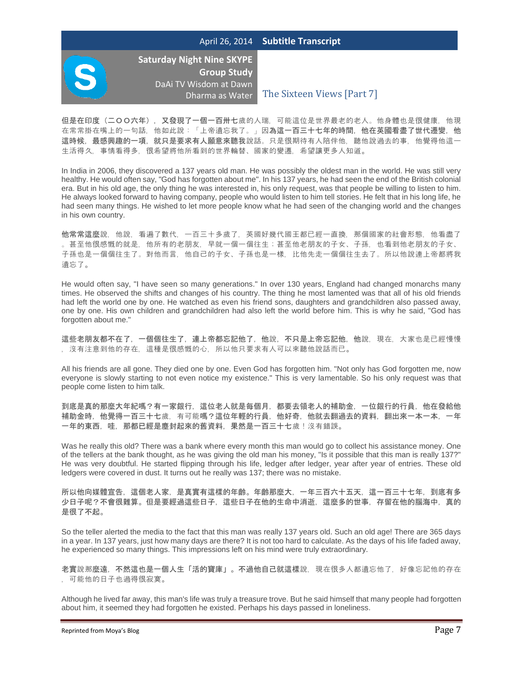

**Saturday Night Nine SKYPE Group Study**  DaAi TV Wisdom at Dawn

Dharma as Water The Sixteen Views [Part 7]

但是在印度(二〇〇六年),又發現了一個一百卅七歲的人瑞,可能這位是世界最老的老人。他身體也是很健康,他現 在常常掛在嘴上的一句話,他如此說:「上帝遺忘我了。」因為這一百三十七年的時間,他在英國看盡了世代遷變,他 這時候,最感興趣的一項,就只是要求有人願意來聽我說話。只是很期待有人陪伴他,聽他說過去的事,他覺得他這一 生活得久,事情看得多,很希望將他所看到的世界輪替、國家的變遷,希望讓更多人知道。

In India in 2006, they discovered a 137 years old man. He was possibly the oldest man in the world. He was still very healthy. He would often say, "God has forgotten about me". In his 137 years, he had seen the end of the British colonial era. But in his old age, the only thing he was interested in, his only request, was that people be willing to listen to him. He always looked forward to having company, people who would listen to him tell stories. He felt that in his long life, he had seen many things. He wished to let more people know what he had seen of the changing world and the changes in his own country.

他常常這麼說,他說,看遍了數代,一百三十多歲了,英國好幾代國王都已經一直換,那個國家的社會形態,他看盡了 。甚至他很感慨的就是,他所有的老朋友,早就一個一個往生;甚至他老朋友的子女、子孫,也看到他老朋友的子女、 子孫也是一個個往生了。對他而言,他自己的子女、子孫也是一樣,比他先走一個個往生去了。所以他說連上帝都將我 遺忘了。

He would often say, "I have seen so many generations." In over 130 years, England had changed monarchs many times. He observed the shifts and changes of his country. The thing he most lamented was that all of his old friends had left the world one by one. He watched as even his friend sons, daughters and grandchildren also passed away, one by one. His own children and grandchildren had also left the world before him. This is why he said, "God has forgotten about me."

這些老朋友都不在了,一個個往生了,連上帝都忘記他了,他說,不只是上帝忘記他,他說,現在,大家也是已經慢慢 ,沒有注意到他的存在,這種是很感慨的心,所以他只要求有人可以來聽他說話而已。

All his friends are all gone. They died one by one. Even God has forgotten him. "Not only has God forgotten me, now everyone is slowly starting to not even notice my existence." This is very lamentable. So his only request was that people come listen to him talk.

到底是真的那麼大年紀嗎?有一家銀行,這位老人就是每個月,都要去領老人的補助金,一位銀行的行員,他在發給他 補助金時,他覺得一百三十七歲,有可能嗎?這位年輕的行員,他好奇,他就去翻過去的資料,翻出來一本一本,一年 一年的東西,哇,那都已經是塵封起來的舊資料,果然是一百三十七歲!沒有錯誤。

Was he really this old? There was a bank where every month this man would go to collect his assistance money. One of the tellers at the bank thought, as he was giving the old man his money, "Is it possible that this man is really 137?" He was very doubtful. He started flipping through his life, ledger after ledger, year after year of entries. These old ledgers were covered in dust. It turns out he really was 137; there was no mistake.

所以他向媒體宣告,這個老人家,是真實有這樣的年齡。年齡那麼大,一年三百六十五天,這一百三十七年,到底有多 少日子呢?不會很難算。但是要經過這些日子,這些日子在他的生命中消逝,這麼多的世事,存留在他的腦海中,真的 是很了不起。

So the teller alerted the media to the fact that this man was really 137 years old. Such an old age! There are 365 days in a year. In 137 years, just how many days are there? It is not too hard to calculate. As the days of his life faded away, he experienced so many things. This impressions left on his mind were truly extraordinary.

老實說那麼遠,不然這也是一個人生「活的寶庫」。不過他自己就這樣說,現在很多人都遺忘他了,好像忘記他的存在 ,可能他的日子也過得很寂寞。

Although he lived far away, this man's life was truly a treasure trove. But he said himself that many people had forgotten about him, it seemed they had forgotten he existed. Perhaps his days passed in loneliness.